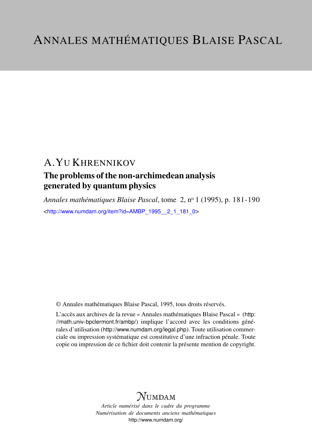# A.YU KHRENNIKOV

# The problems of the non-archimedean analysis generated by quantum physics

*Annales mathématiques Blaise Pascal*, tome 2, n<sup>o</sup> 1 (1995), p. 181-190 <[http://www.numdam.org/item?id=AMBP\\_1995\\_\\_2\\_1\\_181\\_0](http://www.numdam.org/item?id=AMBP_1995__2_1_181_0)>

© Annales mathématiques Blaise Pascal, 1995, tous droits réservés.

L'accès aux archives de la revue « Annales mathématiques Blaise Pascal » ([http:](http://math.univ-bpclermont.fr/ambp/) [//math.univ-bpclermont.fr/ambp/](http://math.univ-bpclermont.fr/ambp/)) implique l'accord avec les conditions générales d'utilisation (<http://www.numdam.org/legal.php>). Toute utilisation commerciale ou impression systématique est constitutive d'une infraction pénale. Toute copie ou impression de ce fichier doit contenir la présente mention de copyright.

# **NUMDAM**

*Article numérisé dans le cadre du programme Numérisation de documents anciens mathématiques* <http://www.numdam.org/>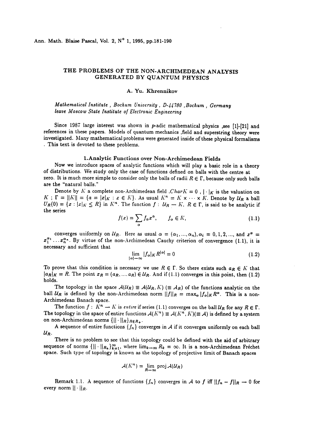### THE PROBLEMS OF THE NON-ARCHIMEDEAN ANALYSIS GENERATED BY QUANTUM PHYSICS

#### A. Yu. Khrennikov

Mathematical Institute, Bochum University, D-44780, Bochum, Germany<br>leave Moscow State Institute of Electronic Engineering

Since 1987 large interest was shown in  $p$ -adic mathematical physics , see [1]-[21] and references in these papers. Models of quantum mechanics ,field and superstring theory were investigated. Many mathematical problems were generated inside of these physical formalisms . This text is devoted to these problems.

1.Analytic Functions over Non-Archimedean Fields<br>Now we introduce spaces of analytic functions which will play a basic role in a theory of distributions. We study only the case of functions defined on balls with the centre at zero. It is much more simple to consider only the balls of radii  $R \in \Gamma$ , because only such balls are the "natural balls."

Denote by K a complete non-Archimedean field  $CharK = 0$ ,  $|\cdot|_K$  is the valuation on  $K$ ;  $\Gamma = ||K|| = \{a = |x|_K : x \in K\}$ . As usual  $K^n = K \times \cdots \times K$ . Denote by  $\mathcal{U}_R$  a ball  $U_R(0) = \{x : |x|_K \le R\}$  in  $K^n$ . The function  $f : U_R - K$ ,  $R \in \Gamma$ , is said to be analytic if the series

$$
f(x) = \sum_{\alpha} f_{\alpha} x^{\alpha}, \qquad f_{\alpha} \in K,
$$
 (1.1)

converges uniformly on  $U_R$ . Here as usual  $\alpha = (\alpha_1, ..., \alpha_n), \alpha_i = 0, 1, 2, ...,$  and  $x^{\alpha} =$  $x_1^{\alpha_1} \ldots x_n^{\alpha_n}$ . By virtue of the non-Archimedean Cauchy criterion of convergence (1.1), it is necessary and sufficient that

$$
\lim_{|\alpha| \to \infty} |f_{\alpha}|_K R^{|\alpha|} = 0 \tag{1.2}
$$

To prove that this condition is necessary we use  $R \in \Gamma$ . So there exists such  $a_R \in K$  that  $|a_R|_K = R$ . The point  $x_R = (a_R, ..., a_R) \in U_R$ . And if (1.1) converges in this point, then (1.2) holds.

The topology in the space  $\mathcal{A}(\mathcal{U}_R) \equiv \mathcal{A}(\mathcal{U}_R, K)$  ( $\equiv \mathcal{A}_R$ ) of the functions analytic on the ball  $U_R$  is defined by the non-Archimedean norm  $||f||_R = \max_{\alpha} |f_{\alpha}|_K R^{\alpha}$ . This is a non-Archimedean Banach space.

The function  $f: K^n \to K$  is entire if series (1.1) converges on the ball  $U_R$  for any  $R \in \Gamma$ . The topology in the space of entire functions  $A(K^n) \equiv A(K^n, K)(\equiv A)$  is defined by a system on non-Archimedean norms  $\{||\cdot||_R\}_{R\in R_+}$ .

A sequence of entire functions  $\{f_n\}$  converges in A if it converges uniformly on each ball  $U_R$ .

There is no problem to see that this topology could be defined with the aid of arbitrary sequence of norms  $\{||\cdot||_{R_k}\}_{k=1}^{\infty}$ , where  $\lim_{k\to\infty} R_k = \infty$ . It is a non-Archimedean Fréchet space. Such type of topology is known as the topology of projective limit of Banach spaces

$$
\mathcal{A}(K^n) = \lim_{R \to \infty} \operatorname{proj} \mathcal{A}(\mathcal{U}_R)
$$

Remark 1.1. A sequence of functions  $\{f_n\}$  converges in A to f iff  $||f_n - f||_R \to 0$  for every norm  $|| \cdot ||_R$ .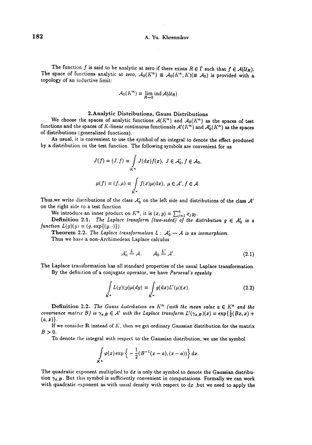The function f is said to be analytic at zero if there exists  $R \in \Gamma$  such that  $f \in \mathcal{A}(\mathcal{U}_R)$ .<br>The space of functions analytic at zero,  $\mathcal{A}_0(K^n) \equiv \mathcal{A}_0(K^n, K)(\equiv \mathcal{A}_0)$  is provided with a topology of an inductive limit:

$$
\mathcal{A}_0(K^n) = \lim_{R \to 0} \operatorname{ind} \mathcal{A}(\mathcal{U}_R)
$$

#### 2.Analytic Distributions, Gauss Distributions

We choose the spaces of analytic functions  $A(K^n)$  and  $A_0(K^n)$  as the spaces of test functions and the spaces of K-linear continuous functionals  $\mathcal{A}'(K^n)$  and  $\mathcal{A}'_0(K^n)$  as the spaces of distributions (generalized functions).<br>As usual, it is convenient to use the symbol of an integral to denote the effect produced

by a distribution on the test function. The following symbols are convenient for us

$$
J(f) = (J, f) = \int_{K^n} J(\mathrm{d}x) f(x), \ J \in \mathcal{A}'_0, f \in \mathcal{A}_0,
$$
  

$$
\mu(f) = (f, \mu) = \int_{K^n} f(x) \mu(\mathrm{d}x), \ \mu \in \mathcal{A}', f \in \mathcal{A}.
$$

Thus, we write distributions of the class  $A'_0$  on the left side and distributions of the class  $A'$ on the right side to a test function.

We introduce an inner product on  $K<sup>n</sup>$ , it is  $(x, y) =$ 

**Definition 2.1.** The Laplace transform (two-sided) of the distribution  $g \in A_0'$  is a function  $L(g)(y) = (g, \exp\{(y, \cdot)\}).$ 

**Theorem 2.2.** The Laplace transformation  $L : A'_0 \rightarrow A$  is an isomorphism.

Thus we have a non-Archimedean Laplace calculus

$$
\mathcal{A}'_0 \stackrel{L}{\rightarrow} \mathcal{A}, \qquad \mathcal{A}_0 \stackrel{L'}{\rightarrow} \mathcal{A}'.
$$
 (2.1)

The Laplace transformation has all standard properties of the usual Laplace transformation. By the definition of a conjugate operator, we have Parseval's equality

$$
\int\limits_{K^n} L(g)(y)\mu(dy) = \int\limits_{K^n} g(\mathrm{d}x) L'(\mu)(x). \tag{2.2}
$$

**Definition 2.2.** The Gauss distribution on  $K<sup>n</sup>$  (with the mean value  $a \in K<sup>n</sup>$  and the covariance matrix B) is  $\gamma_{a,B} \in A'$  with the Laplace transform  $L'(\gamma_{a,B})(x) = \exp\{\frac{1}{2}(Bx,x) +$  $(a, x)$ .

If we consider R instead of  $K$ , then we get ordinary Gaussian distribution for the matrix  $B>0$ .

To denote the integral with respect to the Gaussian distribution, we use the symbol

$$
\int\limits_{K^n}\varphi(x)\exp\bigg\{-\frac{1}{2}(B^{-1}(x-a),(x-a))\bigg\}\,\mathrm{d} x.
$$

The quadratic exponent multiplied to  $dx$  is only the symbol to denote the Gaussian distribution  $\gamma_{a,B}$ . But this symbol is sufficiently convenient in computations. Formally we can work with quadratic exponent as with usual density with respect to  $dx$ , but we need to apply the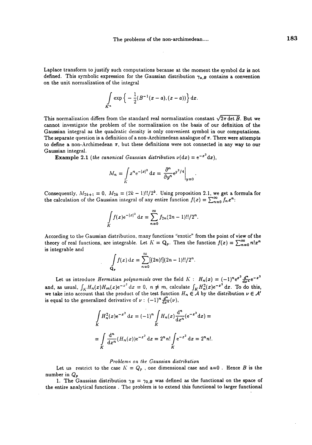Laplace transform to justify such computations because at the moment the symbol  $dx$  is not defined. This symbolic expression for the Gaussian distribution  $\gamma_{a,B}$  contains a convention on the unit normalization of the integral

$$
\int_{K^n} \exp \left\{ - \frac{1}{2} (B^{-1}(x-a), (x-a)) \right\} dx.
$$

This normalization differs from the standard real normalization constant  $\sqrt{2\pi \det B}$ . But we cannot investigate the problem of the normalization on the basis of our definition of the Gaussian integral as the quadratic density is only convenient symbol in our computations. The separate question is a definition of a non-Archimedean analogue of  $\pi$ . There were attempts to define a non-Archimedean  $\pi$ , but these definitions were not connected in any way to our Gaussian integral.

Gaussian integral.<br>**Example 2.1** (the canonical Gaussian distribution  $v(dx) = e^{-x^2} dx$ ).

$$
M_n = \int\limits_K x^n e^{-|x|^2} dx = \frac{\partial^n}{\partial y^n} e^{y^2/4} \Big|_{y=0}
$$

Consequently,  $M_{2k+1} = 0$ ,  $M_{2k} = (2k-1)!!/2^k$ . Using proposition 2.1, we get a formula for the calculation of the Gaussian integral of any entire function  $f(x) = \sum_{n=0}^{\infty} f_n x^n$ 

$$
\int\limits_K f(x) e^{-|x|^2} dx = \sum_{n=0}^{\infty} f_{2n} (2n-1)!!/2^n.
$$

According to the Gaussian distribution, many functions ''exotic" from the point of view of the theory of real functions, are integrable. Let  $K = Q_p$ . Then the function  $f(x) = \sum_{n=0}^{\infty} n!x^n$ is integrable and

$$
\int_{\mathbf{Q}_{p}} f(x) dx = \sum_{n=0}^{\infty} [(2n)!] (2n-1)!!/2^{n}.
$$

Let us introduce Hermitian polynomials over the field  $K : H_n(x) = (-1)^n e^{x^2} \frac{d^n}{dx^n} e^{-x^2}$ and, as usual,  $\int_K H_n(x)H_m(x)e^{-x^2} dx = 0$ ,  $n \neq m$ , calculate  $\int_K H_n^2(x)e^{-x^2} dx$ . To do this, we take into account that the product of the test function  $H_n \in A$  by the distribution  $\nu \in A'$ is equal to the generalized derivative of  $\nu : (-1)^n \frac{d^n}{dx^n}(\nu)$ ,

$$
\int_{K} H_n^2(x) e^{-x^2} dx = (-1)^n \int_{K} H_n(x) \frac{d^n}{dx^n} (e^{-x^2} dx) =
$$
  
= 
$$
\int_{K} \frac{d^n}{dx^n} (H_n(x)) e^{-x^2} dx = 2^n n! \int_{K} e^{-x^2} dx = 2^n n!.
$$

#### Problems on the Gaussian distribution

Let us restrict to the case  $K = Q_p$ , one dimensional case and a=0. Hence B is the number in  $Q_p$ 

1. The Gaussian distribution  $\gamma_B = \gamma_{0,B}$  was defined as the functional on the space of the entire analytical functions . The problem is to extend this functional to larger functional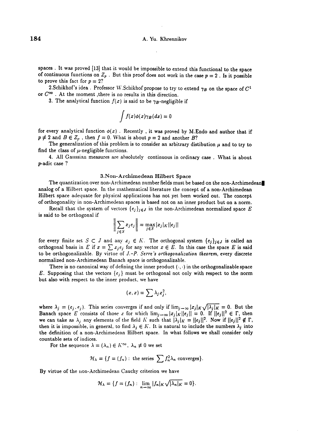spaces. It was proved [13] that it would be impossible to extend this functional to the space of continuous functions on  $Z_p$ . But this proof does not work in the case  $p = 2$ . Is it possible to prove this fact for  $p = 2$ ?

2.Schikhof's idea . Professor W.Schikhof propose to try to extend  $\gamma_B$  on the space of  $C^1$  or  $C^{\infty}$ . At the moment ,there is no results in this direction.

3. The analytical function  $f(x)$  is said to be  $\gamma_B$ -negligible if

$$
\int f(x)\phi(x)\gamma_B(dx)=0
$$

for every analytical function  $\phi(x)$  . Recently, it was proved by M.Endo and author that if  $p \neq 2$  and  $B \in Z_p$ , then  $f = 0$ . What is about  $p = 2$  and another B?

The generalization of this problem is to consider an arbitrary distibution  $\mu$  and to try to find the class of  $\mu$ -negligible functions.

4. All Gaussian measures are absolutely continuous in ordinary case . What is about p-adic case ?

#### 3.Non-Archimedean Hilbert Space

The quantization over non-Archimedean number fields must be based on the non-Archimedean analog of a Hilbert space. In the mathematical literature the concept of a non-Archimedean Hilbert space adequate for physical applications has not yet been worked out. The concept of orthogonality in non-Archimedean spaces is based not on an inner product but on a norm.

Recall that the system of vectors  $\{e_j\}_{j\in J}$  in the non-Archimedean normalized space E is said to be orthogonal if

$$
\left\| \sum_{j \in S} x_j e_j \right\| = \max_{j \in S} |x_j|_K ||e_j||
$$

for every finite set  $S \subset J$  and any  $x_j \in K$ . The orthogonal system  $\{e_j\}_{j \in J}$  is called an orthogonal basis in E if  $x = \sum x_i e_i$  for any vector  $x \in E$ . In this case the space E is said to be orthogonalizable. By virtue of  $J.-P.$  Serre's orthogonalization theorem, every discrete normalized non-Archimedean Banach space is orthogonalizable.

There is no canonical way of defining the inner product  $(\cdot, \cdot)$  in the orthogonalizable space E. Supposing that the vectors  $\{e_j\}$  must be orthogonal not only with respect to the norm but also with respect to the inner product, we have

$$
(x,x)=\sum \lambda_j x_j^2,
$$

where  $\lambda_j = (e_j, e_j)$ . This series converges if and only if  $\lim_{j\to\infty} |x_j|_K \sqrt{|\lambda_j|_K} = 0$ . But the Banach space E consists of those x for which  $\lim_{j\to\infty} |x_j|_K ||e_j|| = 0$ . If  $||e_j||^2 \in \Gamma$ , then we can take as  $\lambda_j$  any elements of the field K such that  $|\lambda_j|_K = ||e_j||^2$ . Now if  $||e_j||^2 \notin \Gamma$ , then it is impossible, in general, to find  $\lambda_j \in K$ . It is natural to include the numbers  $\lambda_j$  into the definition of a non-Archimedean Hilbert space. In what follows we shall consider only countable sets of indices.

For the sequence  $\lambda = (\lambda_n) \in K^{\infty}$ ,  $\lambda_n \neq 0$  we set

$$
\mathcal{H}_{\lambda} = \{f = (f_n) : \text{ the series } \sum f_n^2 \lambda_n \text{ converges}\}.
$$

By virtue of the non-Archimedean Cauchy criterion we have

$$
\mathcal{H}_{\lambda} = \{f = (f_n) : \lim_{n \to \infty} |f_n|_K \sqrt{|\lambda_n|_K} = 0\}.
$$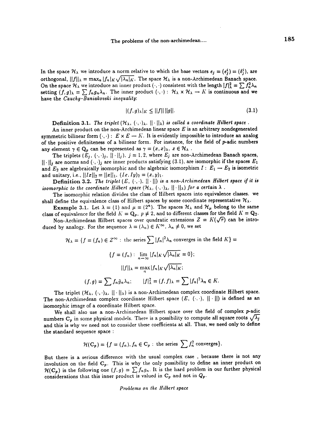In the space  $\mathcal{H}_{\lambda}$  we introduce a norm relative to which the base vectors  $e_i = (e_i^i) = (\delta_i^i)$ , are orthogonal,  $||f||_{\lambda} = \max_{B} |f_{B}| \sqrt{|\lambda_{B}|K}$ . The space  $\mathcal{H}_{\lambda}$  is a non-Archimedean Banach space. On the space  $\mathcal{H}_\lambda$  we introduce an inner product  $(\cdot, \cdot)$  consistent with the length  $|f|_\lambda^2 = \sum f_n^2 \lambda_n$ setting  $(f, g)_{\lambda} = \sum f_n g_n \lambda_n$ . The inner product  $(\cdot, \cdot):$   $\mathcal{H}_{\lambda} \times \mathcal{H}_{\lambda} \to K$  is continuous and we have the Cauchy-Buniakovski inequality:

$$
|(f,g)_{\lambda}|_K \le ||f|| \, ||g||. \tag{3.1}
$$

**Definition 3.1.** The triplet  $(H_{\lambda}, \langle \cdot, \cdot \rangle_{\lambda}, ||\cdot||_{\lambda})$  is called a coordinate Hilbert space.

An inner product on the non-Archimedean linear space  $E$  is an arbitrary nondegenerated symmetric bilinear form  $(\cdot,\cdot): E \times E \to K$ . It is evidently impossible to introduce an analog of the positive definiteness of a bilinear form. For instance, for the field of p-adic numbers any element  $\gamma \in \mathbb{Q}_p$  can be represented as  $\gamma = (x, x)_{\lambda}, x \in \mathcal{H}_{\lambda}$ .

The triplets  $(E_j, \langle \cdot, \cdot \rangle_j, ||\cdot||_j)$ ,  $j = 1, 2$ , where  $E_j$  are non-Archimedean Banach spaces,  $||\cdot||_j$  are norms and  $(\cdot, \cdot)_j$  are inner products satisfying (3.1), are isomorphic if the spaces  $E_1$ and  $E_2$  are algebraically isomorphic and the algebraic isomorphism  $I : E_1 \rightarrow E_2$  is isometric and unitary, i.e.,  $||Ix||_2 = ||x||_1$ ,  $(Ix, Iy)_2 = (x, y)_1$ .

**Definition 3.2.** The triplet  $(E, \{\cdot, \cdot\}, \| \cdot \|)$  is a non-Archimedean Hilbert space if it is isomorphic to the coordinate Hilbert space  $(\mathcal{H}_{\lambda}, \langle \cdot, \cdot \rangle_{\lambda}, ||\cdot||_{\lambda})$  for a certain  $\lambda$ .

The isomorphic relation divides the class of Hilbert spaces into equivalence classes, we shall define the equivalence class of Hilbert spaces by some coordinate representative  $\mathcal{H}_{\lambda}$ .

**Example 3.1.** Let  $\lambda = (1)$  and  $\mu = (2^n)$ . The spaces  $\mathcal{H}_{\lambda}$  and  $\mathcal{H}_{\mu}$  belong to the same class of equivalence for the field  $K = \mathbf{Q}_p$ ,  $p \neq 2$ , and to different classes for the field  $K = \mathbf{Q}_2$ .

Non-Archimedean Hilbert spaces over quadratic extensions  $Z = K(\sqrt{r})$  can be introduced by analogy. For the sequence  $\lambda = (\lambda_n) \in K^{\infty}$ ,  $\lambda_n \neq 0$ , we set

$$
\mathcal{H}_{\lambda} = \{f = (f_n) \in Z^{\infty} : \text{ the series } \sum |f_n|^2 \lambda_n \text{ converges in the field } K \} =
$$
  

$$
\{f = (f_n) : \lim_{n \to \infty} |f_n|_K \sqrt{|\lambda_n|_K} = 0 \};
$$
  

$$
||f||_{\lambda} = \max_{n} |f_n|_K \sqrt{|\lambda_n|_K};
$$
  

$$
(f, g) = \sum f_n \bar{g}_n \lambda_n; \qquad |f|_{\lambda}^2 = (f, f)_{\lambda} = \sum |f_n|^2 \lambda_n \in K.
$$

The triplet  $(\mathcal{H}_{\lambda}, (\cdot, \cdot)_{\lambda}, ||\cdot||_{\lambda})$  is a non-Archimedean complex coordinate Hilbert space. The non-Archimedean complex coordinate Hilbert space  $(E, \langle \cdot, \cdot \rangle, ||\cdot||)$  is defined as an isomorphic image of a coordinate Hilbert space.

We shall also use a non-Archimedean Hilbert space over the field of complex p-adic numbers C<sub>p</sub> in some physical models. There is a possibility to compute all square roots  $\sqrt{\lambda_j}$ and this is why we need not to consider these coefficients at all. Thus, we need only to define the standard sequence space :

$$
\mathcal{H}(\mathbf{C}_p) = \{f = (f_n), f_n \in \mathbf{C}_p : \text{ the series } \sum f_n^2 \text{ converges}\}.
$$

But there is a serious difference with the usual complex case , because there is not any involution on the field  $C_p$ . This is why the only possibility to define an inner product on  $\mathcal{H}(\mathbf{C_p})$  is the following one  $(f, g) = \sum f_n g_n$ . It is the hard problem in our further physical considerations that this inner product is valued in  $C_p$  and not in  $Q_p$ .

Problems on the Hilbert space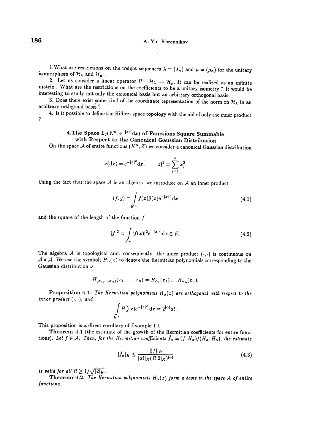1.What are restrictions on the weight sequences  $\lambda = (\lambda_n)$  and  $\mu = (\mu_n)$  for the unitary isomorphism of  $\mathcal{H}_{\lambda}$  and  $\mathcal{H}_{\mu}$ .

2. Let us consider a linear operator  $U : \mathcal{H}_{\lambda} \to \mathcal{H}_{\mu}$ . It can be realized as an infinite matrix. What are the restrictions on the coefficients to be a unitary isometry? It would be interesting to study not only the canonical basis but an arbitrary orthogonal basis.

3. Does there exist some kind of the coordinate representation of the norm on  $\mathcal{H}_{\lambda}$  in an arbitrary orthgonal basis ?

? 4. Is it possible to define the Hilbert space topology with the aid of only the inner product

### 4. The Space  $L_2(K^n, e^{-|x|^2}dx)$  of Functions Square Summable with Respect to the Canonical Gaussian Distribution

On the space A of entire functions  $(K<sup>n</sup>, Z)$  we consider a canonical Gaussian distribution

$$
\nu(\mathrm{d}x) = e^{-|x|^2} \mathrm{d}x, \qquad |x|^2 = \sum_{j=1}^n x_j^2.
$$

Using the fact that the space  $A$  is an algebra, we introduce on  $A$  an inner product

$$
(f,g) = \int\limits_{K^n} f(x)\bar{g}(x)e^{-|x|^2} dx
$$
\n(4.1)

and the square of the length of the function  $f$ 

$$
|f|^2 = \int\limits_{K^n} |f(x)|^2 e^{-|x|^2} dx \in K.
$$
 (4.2)

The algebra  $A$  is topological and, consequently, the inner product  $(\cdot, \cdot)$  is continuous on  $\mathcal{A} \times \mathcal{A}$ . We use the symbols  $H_{\alpha}(x)$  to denote the Hermitian polynomials corresponding to the Gaussian distribution  $\nu$ ,

$$
H_{(\alpha_1,\ldots,\alpha_n)}(x_1,\ldots,x_n)=H_{\alpha_1}(x_1)\ldots H_{\alpha_n}(x_n).
$$

Proposition 4.1. The Hermitian polynomials  $H_{\alpha}(x)$  are orthogonal with respect to the inner product  $(\cdot, \cdot)$ , and

$$
\int\limits_{K^n} H_\alpha^2(x) e^{-|x|^2} dx = 2^{|\alpha|} \alpha!.
$$

This proposition is a direct corollary of Example 1.1

Theorem 4.1 (the estimate of the growth of the Hermitian coefficients for entire functions). Let  $f \in A$ . Then, for the Hermitian coefficients  $\bar{f}_{\alpha} = (f, H_{\alpha})/(H_{\alpha}, H_{\alpha})$ , the estimate

$$
|\tilde{f}_{\alpha}|_K \le \frac{||f||_R}{|\alpha!|_K(R|2|_K)^{|\alpha|}}\tag{4.3}
$$

is valid for all  $R \geq 1/\sqrt{|2|_K}$ .<br>Theorem 4.2. The Hermitian polynomials  $H_\alpha(x)$  form a basis in the space A of entire functions.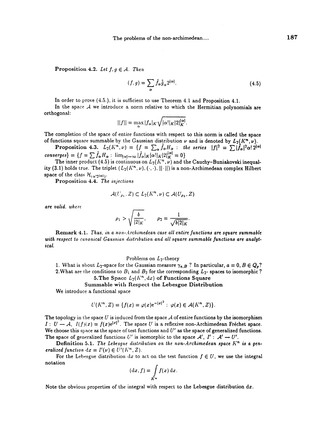**Proposition 4.2.** Let  $f, g \in A$ . Then

$$
(f,g) = \sum_{\alpha} \tilde{f}_{\alpha} \tilde{g}_{\alpha} 2^{|\alpha|}.
$$
 (4.5)

In order to prove  $(4.5.)$ , it is sufficient to use Theorem  $4.1$  and Proposition  $4.1$ .

In the space  $A$  we introduce a norm relative to which the Hermitian polynomials are orthogonal:

$$
||f|| = \max_{\alpha} |f_{\alpha}|_K \sqrt{|\alpha!|_K |2|_K^{|\alpha|}}.
$$

The completion of the space of entire functions with respect to this norm is called the space of functions square summable by the Gaussian distribution  $\nu$  and is denoted by  $L_2(K^n, \nu)$ .

Proposition 4.3.  $L_2(K^n, \nu) = \{f = \sum_{\alpha} \tilde{f}_{\alpha} H_{\alpha} : \text{ the series } |f|^2 = \sum |\tilde{f}_{\alpha}|^2 \alpha! 2^{|\alpha|}$ converges} =  $\{f = \sum \bar{f}_{\alpha}H_{\alpha}:~\lim_{|\alpha| \to \infty} |\bar{f}_{\alpha}|_K |\alpha!|_K |2|_K^{|\alpha|} = 0\}$ 

The inner product (4.5) is continuous on  $L_2(K^n,\nu)$  and the Cauchy–Buniakovski inequality (3.1) holds true. The triplet  $(L_2(K^n, \nu), (\cdot, \cdot), ||\cdot||)$  is a non-Archimedean complex Hilbert space of the class  $\mathcal{H}_{(\alpha;2|\alpha|)}.$ 

Proposition 4.4. The injections

$$
\mathcal{A}(U_{\rho_1}, Z) \subset L_2(K^n, \nu) \subset \mathcal{A}(U_{\rho_2}, Z)
$$

are valid. where

$$
\rho_1 > \sqrt{\frac{b}{|2|_K}}, \qquad \rho_2 = \frac{1}{\sqrt{b|2|_K}}.
$$

Remark 4.1. Thus, in a non-Archimedean case all entire functions are square summable with respect to canonical Gaussian distribution and all square summable functions are analytical.

#### Problems on  $L_2$ -theory

1. What is about  $L_2$ -space for the Gaussian measure  $\gamma_{a,B}$ ? In particular,  $a = 0, B \in Q_p$ ? 2. What are the conditions to  $B_1$  and  $B_2$  for the corresponding  $L_2$ - spaces to isomorphic ? 5. The Space  $L_2(K^n, dx)$  of Functions Square

## Summable with Respect the Lebesgue Distribution

We introduce a functional space

$$
U(K^n, Z) = \{f(x) = \varphi(x) e^{-|x|^2} : \varphi(x) \in \mathcal{A}(K^n, Z)\}.
$$

The topology in the space U is induced from the space A of entire functions by the isomorphism  $I: U \to A$ ,  $I(f)(x) = f(x)e^{|x|^2}$ . The space U is a reflexive non-Archimedean Fréchet space. We choose this space as the space of test functions and  $U'$  as the space of generalized functions. The space of generalized functions U' is isomorphic to the space  $A', I' : A' \rightarrow U'.$ 

**Definition 5.1.** The Lebesgue distribution on the non-Archimedean space  $K<sup>n</sup>$  is a generalized function  $dx = I'(\nu) \in U'(K^n, Z)$ .

For the Lebesgue distribution dx to act on the test function  $f \in U$ , we use the integral notation

$$
(\mathrm{d}x, f) = \int\limits_{K^n} f(x) \, \mathrm{d}x.
$$

Note the obvious properties of the integral with respect to the Lebesgue distribution dz.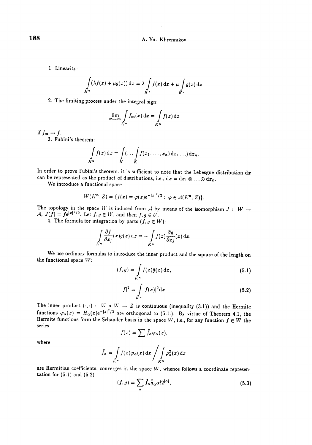1. Linearity:

$$
\int_{K^n} (\lambda f(x) + \mu g(x)) dx = \lambda \int_{K^n} f(x) dx + \mu \int_{K^n} g(x) dx.
$$

2. The limiting process under the integral sign:

$$
\lim_{m \to \infty} \int\limits_{K^n} f_m(x) \, \mathrm{d}x = \int\limits_{K^n} f(x) \, \mathrm{d}x
$$

if  $f_m \rightarrow f$ .

3. Fubini's theorem:

$$
\int\limits_{K^n} f(x) \, \mathrm{d}x = \int\limits_K (\ldots \int\limits_K f(x_1, \ldots, x_n) \, \mathrm{d}x_1 \ldots) \, \mathrm{d}x_n.
$$

In order to prove Fubini's theorem, it is sufficient to note that the Lebesgue distribution dx can be represented as the product of distributions, i.e.,  $dx = dx_1 \otimes ... \otimes dx_n$ .

We introduce a functional space

$$
W(K^{n}, Z) = \{f(x) = \varphi(x) e^{-|x|^{2}/2} : \varphi \in \mathcal{A}(K^{n}, Z)\}.
$$

The topology in the space W is induced from A by means of the isomorphism  $J : W \rightarrow$ A,  $J(f) = \tilde{f}e^{|x|^2/2}$ . Let  $f, g \in W$ , and then  $f, g \in U$ .

4. The formula for integration by parts  $(f, g \in W)$ :

$$
\int\limits_{K^n} \frac{\partial f}{\partial x_j}(x) g(x) \, \mathrm{d}x = - \int\limits_{K^n} f(x) \frac{\partial g}{\partial x_j}(x) \, \mathrm{d}x.
$$

We use ordinary formulas to introduce the inner product and the square of the length on the functional space  $W$ :

$$
(f,g) = \int\limits_{K^n} f(x)\tilde{g}(x) dx,
$$
\n(5.1)

$$
|f|^2 = \int\limits_{K^n} |f(x)|^2 \, \mathrm{d}x. \tag{5.2}
$$

The inner product  $(\cdot, \cdot)$ :  $W \times W - Z$  is continuous (inequality (3.1)) and the Hermite functions  $\varphi_{\alpha}(x) = H_{\alpha}(x) e^{-|x|^2/2}$  are orthogonal to (5.1.). By virtue of Theorem 4.1, the Hermite functions form the Schauder basis in the space  $W$ , i.e., for any function  $f \in W$  the series

$$
f(x)=\sum \tilde{f}_{\alpha}\varphi_{\alpha}(x)
$$

where

$$
\tilde{f}_{\alpha} = \int\limits_{K^{n}} f(x) \varphi_{\alpha}(x) dx \bigg/ \int\limits_{K^{n}} \varphi_{\alpha}^{2}(x) dx
$$

are Hermitian coefficients, converges in the space W, whence follows a coordinate representation for (5.1) and (5.2)

$$
(f, g) = \sum_{\alpha} \tilde{f}_{\alpha} \tilde{g}_{\alpha} \alpha! 2^{|\alpha|}, \qquad (5.3)
$$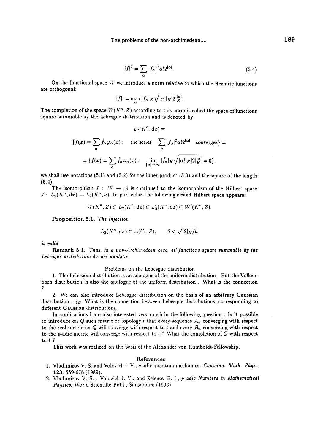$$
|f|^2 = \sum_{\alpha} |f_{\alpha}|^2 \alpha! 2^{|\alpha|}.
$$
 (5.4)

On the functional space  $W$  we introduce a norm relative to which the Hermite functions are orthogonal: \_\_\_\_\_

$$
||f|| = \max_{\alpha} |f_{\alpha}|_K \sqrt{|\alpha!|_K|2|_K^{|\alpha|}}.
$$

The completion of the space  $W(K^n, Z)$  according to this norm is called the space of functions square summable by the Lebesgue distribution and is denoted by

$$
L_2(K^n, dx) =
$$
  

$$
\{f(x) = \sum_{\alpha} \tilde{f}_{\alpha} \varphi_{\alpha}(x) : \text{ the series } \sum_{\alpha} |f_{\alpha}|^2 \alpha! 2^{|\alpha|} \text{ converges} \} =
$$

$$
= \{f(x) = \sum_{\alpha} \tilde{f}_{\alpha} \varphi_{\alpha}(x) : \lim_{|\alpha| \to \infty} |\tilde{f}_{\alpha}|_K \sqrt{|\alpha!|_K |2|_K^{|\alpha|}} = 0 \}.
$$

we shall use notations  $(5.1)$  and  $(5.2)$  for the inner product  $(5.3)$  and the square of the length (5.4).

The isomorphism  $J : W - A$  is continued to the isomorphism of the Hilbert space  $J : L_2(K^n, dx) \longrightarrow L_2(K^n, \nu)$ . In particular, the following nested Hilbert space appears:

$$
W(K^n, Z) \subset L_2(K^n, dx) \subset L'_2(K^n, dx) \subset W'(K^n, Z).
$$

Proposition 5.1. The injection

$$
L_2(K^n, dx) \subset \mathcal{A}(U_s, Z), \qquad \delta < \sqrt{|2|_K/b}.
$$

is valid.

Remark 5.1. Thus, in a non-Archimedean case, all functions square summable by the Lebesgue distribution dx are analytic.

#### Problems on the Lebesgue distribution

1. The Lebesgue distribution is an analogue of the uniform distribution. But the Volkenborn distribution is also the analogue of the uniform distribution . What is the connection ?

2. We can also introduce Lebesgue distribution on the basis of an arbitrary Gaussian distribution,  $\gamma_B$ . What is the connection between Lebesque distributions, corresponding to different Gaussian distributions.

In applications I am also interested very much in the following question : Is it possible to introduce on  $Q$  such metric or topology t that every sequence  $A_n$  converging with respect to the real metric on  $Q$  will converge with respect to t and every  $B_n$  converging with respect to the p-adic metric will converge with respect to  $t$  ? What the completion of  $Q$  with respect to t?

This work was realized on the basis of the Alexander von Humboldt-Fellowship.

#### References

- 1. Vladimirov V. S. and Volovich I. V., p-adic quantum mechanics. Commun. Math. Phys., 123, 659-676 (1989).
- 2. Vladimirov V. S. , Volovich I. V., and Zelenov E. I., p-adic Numbers in Mathematical Physics, World Scientific Publ., Singapoure (1993)